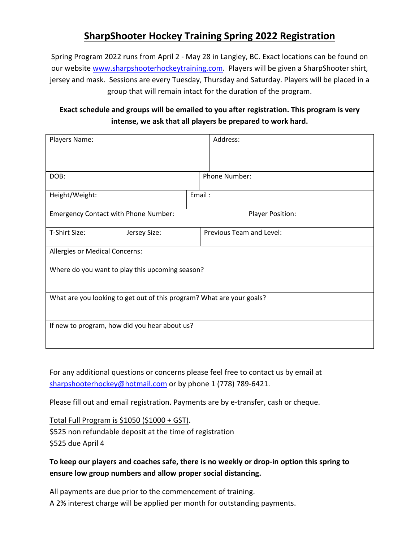# **SharpShooter Hockey Training Spring 2022 Registration**

Spring Program 2022 runs from April 2 - May 28 in Langley, BC. Exact locations can be found on our website www.sharpshooterhockeytraining.com. Players will be given a SharpShooter shirt, jersey and mask. Sessions are every Tuesday, Thursday and Saturday. Players will be placed in a group that will remain intact for the duration of the program.

### **Exact schedule and groups will be emailed to you after registration. This program is very intense, we ask that all players be prepared to work hard.**

| Players Name:                                                         |              |  | Address:                 |  |  |
|-----------------------------------------------------------------------|--------------|--|--------------------------|--|--|
|                                                                       |              |  |                          |  |  |
|                                                                       |              |  |                          |  |  |
| DOB:                                                                  |              |  | Phone Number:            |  |  |
| Height/Weight:                                                        |              |  | Email:                   |  |  |
| <b>Emergency Contact with Phone Number:</b>                           |              |  | <b>Player Position:</b>  |  |  |
| T-Shirt Size:                                                         | Jersey Size: |  | Previous Team and Level: |  |  |
| Allergies or Medical Concerns:                                        |              |  |                          |  |  |
| Where do you want to play this upcoming season?                       |              |  |                          |  |  |
| What are you looking to get out of this program? What are your goals? |              |  |                          |  |  |
| If new to program, how did you hear about us?                         |              |  |                          |  |  |

For any additional questions or concerns please feel free to contact us by email at sharpshooterhockey@hotmail.com or by phone 1 (778) 789-6421.

Please fill out and email registration. Payments are by e-transfer, cash or cheque.

Total Full Program is \$1050 (\$1000 + GST). \$525 non refundable deposit at the time of registration \$525 due April 4

#### **To keep our players and coaches safe, there is no weekly or drop-in option this spring to ensure low group numbers and allow proper social distancing.**

All payments are due prior to the commencement of training. A 2% interest charge will be applied per month for outstanding payments.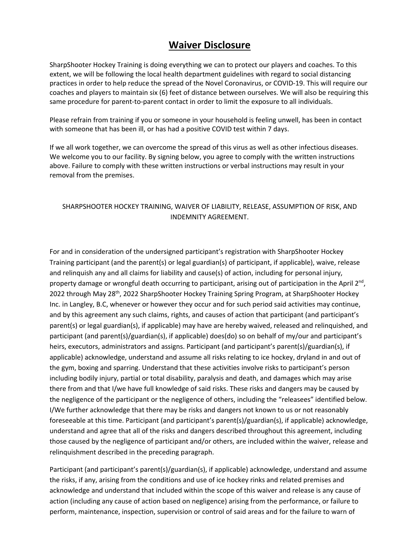## **Waiver Disclosure**

SharpShooter Hockey Training is doing everything we can to protect our players and coaches. To this extent, we will be following the local health department guidelines with regard to social distancing practices in order to help reduce the spread of the Novel Coronavirus, or COVID-19. This will require our coaches and players to maintain six (6) feet of distance between ourselves. We will also be requiring this same procedure for parent-to-parent contact in order to limit the exposure to all individuals.

Please refrain from training if you or someone in your household is feeling unwell, has been in contact with someone that has been ill, or has had a positive COVID test within 7 days.

If we all work together, we can overcome the spread of this virus as well as other infectious diseases. We welcome you to our facility. By signing below, you agree to comply with the written instructions above. Failure to comply with these written instructions or verbal instructions may result in your removal from the premises.

#### SHARPSHOOTER HOCKEY TRAINING, WAIVER OF LIABILITY, RELEASE, ASSUMPTION OF RISK, AND INDEMNITY AGREEMENT.

For and in consideration of the undersigned participant's registration with SharpShooter Hockey Training participant (and the parent(s) or legal guardian(s) of participant, if applicable), waive, release and relinquish any and all claims for liability and cause(s) of action, including for personal injury, property damage or wrongful death occurring to participant, arising out of participation in the April 2<sup>nd</sup>, 2022 through May 28<sup>th</sup>, 2022 SharpShooter Hockey Training Spring Program, at SharpShooter Hockey Inc. in Langley, B.C, whenever or however they occur and for such period said activities may continue, and by this agreement any such claims, rights, and causes of action that participant (and participant's parent(s) or legal guardian(s), if applicable) may have are hereby waived, released and relinquished, and participant (and parent(s)/guardian(s), if applicable) does(do) so on behalf of my/our and participant's heirs, executors, administrators and assigns. Participant (and participant's parent(s)/guardian(s), if applicable) acknowledge, understand and assume all risks relating to ice hockey, dryland in and out of the gym, boxing and sparring. Understand that these activities involve risks to participant's person including bodily injury, partial or total disability, paralysis and death, and damages which may arise there from and that I/we have full knowledge of said risks. These risks and dangers may be caused by the negligence of the participant or the negligence of others, including the "releasees" identified below. I/We further acknowledge that there may be risks and dangers not known to us or not reasonably foreseeable at this time. Participant (and participant's parent(s)/guardian(s), if applicable) acknowledge, understand and agree that all of the risks and dangers described throughout this agreement, including those caused by the negligence of participant and/or others, are included within the waiver, release and relinquishment described in the preceding paragraph.

Participant (and participant's parent(s)/guardian(s), if applicable) acknowledge, understand and assume the risks, if any, arising from the conditions and use of ice hockey rinks and related premises and acknowledge and understand that included within the scope of this waiver and release is any cause of action (including any cause of action based on negligence) arising from the performance, or failure to perform, maintenance, inspection, supervision or control of said areas and for the failure to warn of